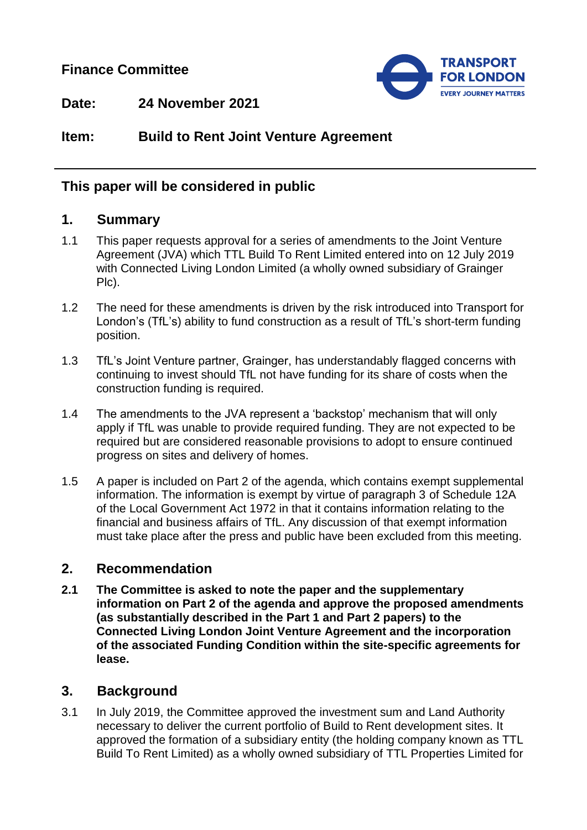## **Finance Committee**



**Date: 24 November 2021**

# **Item: Build to Rent Joint Venture Agreement**

#### **This paper will be considered in public**

#### **1. Summary**

- 1.1 This paper requests approval for a series of amendments to the Joint Venture Agreement (JVA) which TTL Build To Rent Limited entered into on 12 July 2019 with Connected Living London Limited (a wholly owned subsidiary of Grainger Plc).
- 1.2 The need for these amendments is driven by the risk introduced into Transport for London's (TfL's) ability to fund construction as a result of TfL's short-term funding position.
- 1.3 TfL's Joint Venture partner, Grainger, has understandably flagged concerns with continuing to invest should TfL not have funding for its share of costs when the construction funding is required.
- 1.4 The amendments to the JVA represent a 'backstop' mechanism that will only apply if TfL was unable to provide required funding. They are not expected to be required but are considered reasonable provisions to adopt to ensure continued progress on sites and delivery of homes.
- 1.5 A paper is included on Part 2 of the agenda, which contains exempt supplemental information. The information is exempt by virtue of paragraph 3 of Schedule 12A of the Local Government Act 1972 in that it contains information relating to the financial and business affairs of TfL. Any discussion of that exempt information must take place after the press and public have been excluded from this meeting.

#### **2. Recommendation**

**2.1 The Committee is asked to note the paper and the supplementary information on Part 2 of the agenda and approve the proposed amendments (as substantially described in the Part 1 and Part 2 papers) to the Connected Living London Joint Venture Agreement and the incorporation of the associated Funding Condition within the site-specific agreements for lease.**

## **3. Background**

3.1 In July 2019, the Committee approved the investment sum and Land Authority necessary to deliver the current portfolio of Build to Rent development sites. It approved the formation of a subsidiary entity (the holding company known as TTL Build To Rent Limited) as a wholly owned subsidiary of TTL Properties Limited for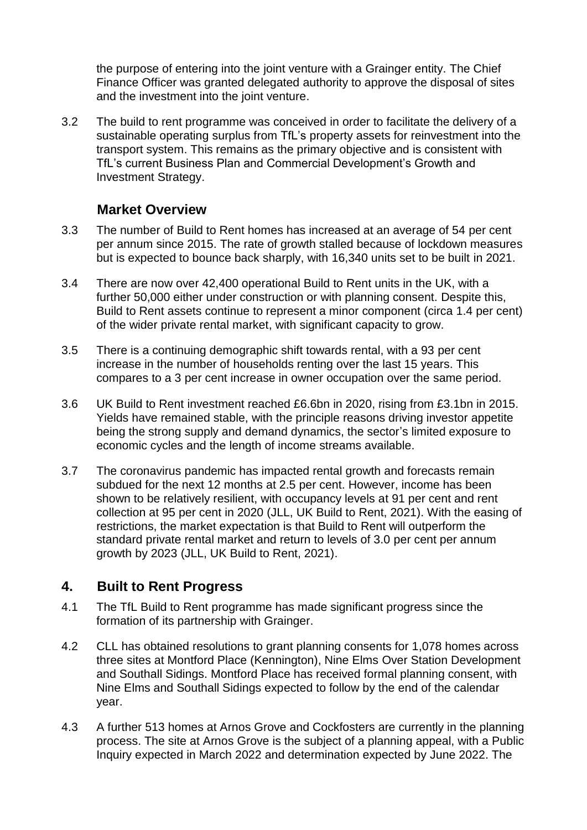the purpose of entering into the joint venture with a Grainger entity. The Chief Finance Officer was granted delegated authority to approve the disposal of sites and the investment into the joint venture.

3.2 The build to rent programme was conceived in order to facilitate the delivery of a sustainable operating surplus from TfL's property assets for reinvestment into the transport system. This remains as the primary objective and is consistent with TfL's current Business Plan and Commercial Development's Growth and Investment Strategy.

#### **Market Overview**

- 3.3 The number of Build to Rent homes has increased at an average of 54 per cent per annum since 2015. The rate of growth stalled because of lockdown measures but is expected to bounce back sharply, with 16,340 units set to be built in 2021.
- 3.4 There are now over 42,400 operational Build to Rent units in the UK, with a further 50,000 either under construction or with planning consent. Despite this, Build to Rent assets continue to represent a minor component (circa 1.4 per cent) of the wider private rental market, with significant capacity to grow.
- 3.5 There is a continuing demographic shift towards rental, with a 93 per cent increase in the number of households renting over the last 15 years. This compares to a 3 per cent increase in owner occupation over the same period.
- 3.6 UK Build to Rent investment reached £6.6bn in 2020, rising from £3.1bn in 2015. Yields have remained stable, with the principle reasons driving investor appetite being the strong supply and demand dynamics, the sector's limited exposure to economic cycles and the length of income streams available.
- 3.7 The coronavirus pandemic has impacted rental growth and forecasts remain subdued for the next 12 months at 2.5 per cent. However, income has been shown to be relatively resilient, with occupancy levels at 91 per cent and rent collection at 95 per cent in 2020 (JLL, UK Build to Rent, 2021). With the easing of restrictions, the market expectation is that Build to Rent will outperform the standard private rental market and return to levels of 3.0 per cent per annum growth by 2023 (JLL, UK Build to Rent, 2021).

## **4. Built to Rent Progress**

- 4.1 The TfL Build to Rent programme has made significant progress since the formation of its partnership with Grainger.
- 4.2 CLL has obtained resolutions to grant planning consents for 1,078 homes across three sites at Montford Place (Kennington), Nine Elms Over Station Development and Southall Sidings. Montford Place has received formal planning consent, with Nine Elms and Southall Sidings expected to follow by the end of the calendar year.
- 4.3 A further 513 homes at Arnos Grove and Cockfosters are currently in the planning process. The site at Arnos Grove is the subject of a planning appeal, with a Public Inquiry expected in March 2022 and determination expected by June 2022. The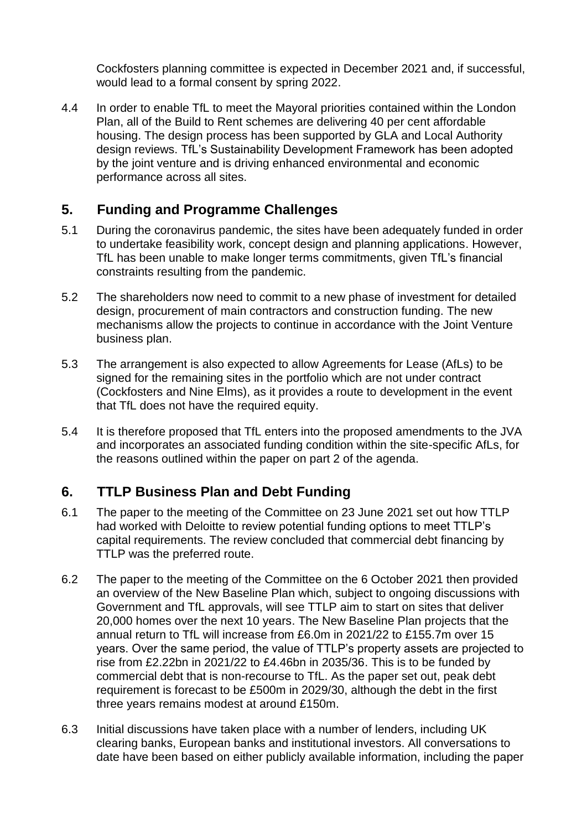Cockfosters planning committee is expected in December 2021 and, if successful, would lead to a formal consent by spring 2022.

4.4 In order to enable TfL to meet the Mayoral priorities contained within the London Plan, all of the Build to Rent schemes are delivering 40 per cent affordable housing. The design process has been supported by GLA and Local Authority design reviews. TfL's Sustainability Development Framework has been adopted by the joint venture and is driving enhanced environmental and economic performance across all sites.

## **5. Funding and Programme Challenges**

- 5.1 During the coronavirus pandemic, the sites have been adequately funded in order to undertake feasibility work, concept design and planning applications. However, TfL has been unable to make longer terms commitments, given TfL's financial constraints resulting from the pandemic.
- 5.2 The shareholders now need to commit to a new phase of investment for detailed design, procurement of main contractors and construction funding. The new mechanisms allow the projects to continue in accordance with the Joint Venture business plan.
- 5.3 The arrangement is also expected to allow Agreements for Lease (AfLs) to be signed for the remaining sites in the portfolio which are not under contract (Cockfosters and Nine Elms), as it provides a route to development in the event that TfL does not have the required equity.
- 5.4 It is therefore proposed that TfL enters into the proposed amendments to the JVA and incorporates an associated funding condition within the site-specific AfLs, for the reasons outlined within the paper on part 2 of the agenda.

## **6. TTLP Business Plan and Debt Funding**

- 6.1 The paper to the meeting of the Committee on 23 June 2021 set out how TTLP had worked with Deloitte to review potential funding options to meet TTLP's capital requirements. The review concluded that commercial debt financing by TTLP was the preferred route.
- 6.2 The paper to the meeting of the Committee on the 6 October 2021 then provided an overview of the New Baseline Plan which, subject to ongoing discussions with Government and TfL approvals, will see TTLP aim to start on sites that deliver 20,000 homes over the next 10 years. The New Baseline Plan projects that the annual return to TfL will increase from £6.0m in 2021/22 to £155.7m over 15 years. Over the same period, the value of TTLP's property assets are projected to rise from £2.22bn in 2021/22 to £4.46bn in 2035/36. This is to be funded by commercial debt that is non-recourse to TfL. As the paper set out, peak debt requirement is forecast to be £500m in 2029/30, although the debt in the first three years remains modest at around £150m.
- 6.3 Initial discussions have taken place with a number of lenders, including UK clearing banks, European banks and institutional investors. All conversations to date have been based on either publicly available information, including the paper